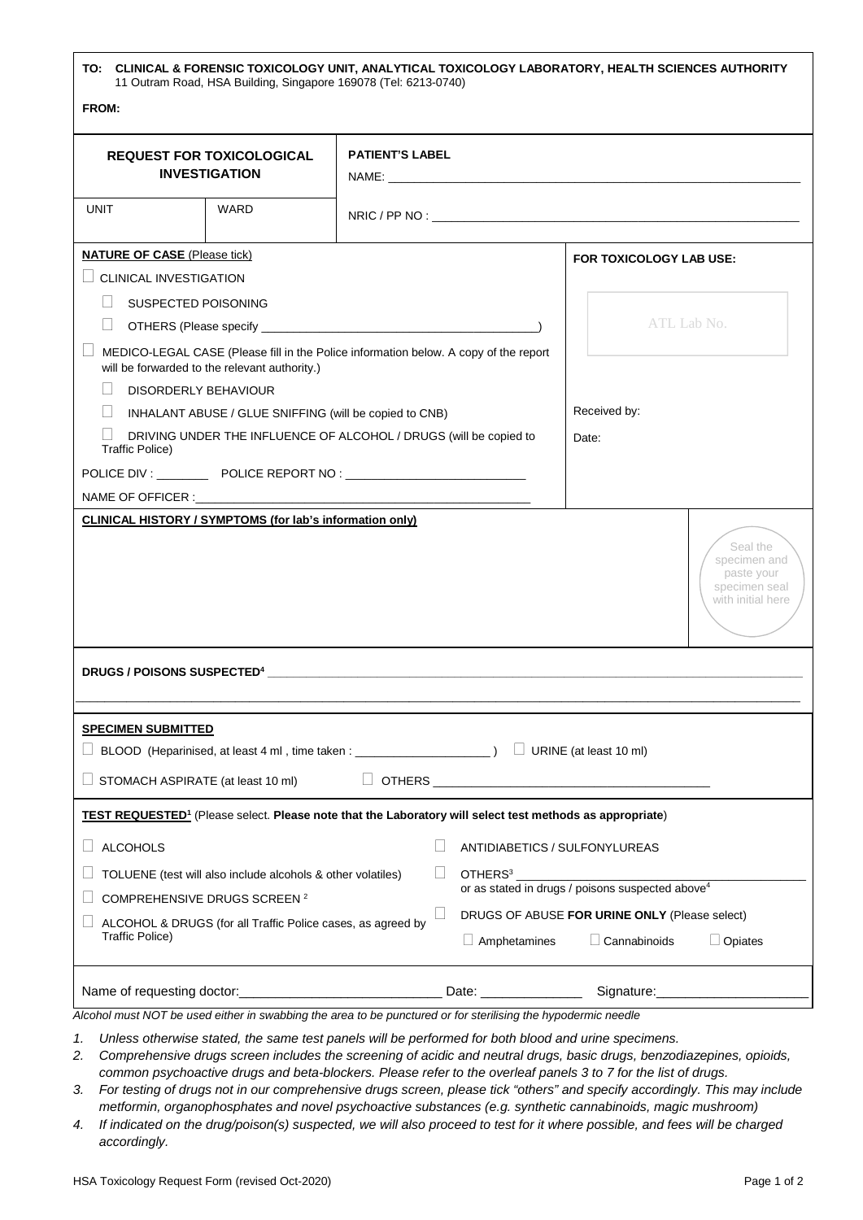| TO: CLINICAL & FORENSIC TOXICOLOGY UNIT, ANALYTICAL TOXICOLOGY LABORATORY, HEALTH SCIENCES AUTHORITY<br>11 Outram Road, HSA Building, Singapore 169078 (Tel: 6213-0740) |                               |                     |                                                                                                                        |                                                                                        |  |
|-------------------------------------------------------------------------------------------------------------------------------------------------------------------------|-------------------------------|---------------------|------------------------------------------------------------------------------------------------------------------------|----------------------------------------------------------------------------------------|--|
| FROM:                                                                                                                                                                   |                               |                     |                                                                                                                        |                                                                                        |  |
| <b>REQUEST FOR TOXICOLOGICAL</b><br><b>INVESTIGATION</b>                                                                                                                | <b>PATIENT'S LABEL</b>        |                     |                                                                                                                        |                                                                                        |  |
| <b>UNIT</b><br>WARD                                                                                                                                                     |                               |                     |                                                                                                                        |                                                                                        |  |
| <b>NATURE OF CASE (Please tick)</b>                                                                                                                                     |                               |                     | FOR TOXICOLOGY LAB USE:                                                                                                |                                                                                        |  |
| $\Box$ CLINICAL INVESTIGATION                                                                                                                                           |                               |                     |                                                                                                                        |                                                                                        |  |
| SUSPECTED POISONING                                                                                                                                                     |                               |                     |                                                                                                                        |                                                                                        |  |
|                                                                                                                                                                         |                               |                     | ATL Lab No.                                                                                                            |                                                                                        |  |
| MEDICO-LEGAL CASE (Please fill in the Police information below. A copy of the report<br>will be forwarded to the relevant authority.)                                   |                               |                     |                                                                                                                        |                                                                                        |  |
| DISORDERLY BEHAVIOUR                                                                                                                                                    |                               |                     |                                                                                                                        |                                                                                        |  |
| H<br>INHALANT ABUSE / GLUE SNIFFING (will be copied to CNB)                                                                                                             |                               |                     | Received by:                                                                                                           |                                                                                        |  |
| DRIVING UNDER THE INFLUENCE OF ALCOHOL / DRUGS (will be copied to<br>Traffic Police)                                                                                    |                               |                     | Date:                                                                                                                  |                                                                                        |  |
| POLICE DIV : ________________ POLICE REPORT NO : _______________________________                                                                                        |                               |                     |                                                                                                                        |                                                                                        |  |
|                                                                                                                                                                         |                               |                     |                                                                                                                        |                                                                                        |  |
|                                                                                                                                                                         |                               |                     |                                                                                                                        | Seal the<br>specimen and<br>paste your<br>specimen seal<br>with initial here           |  |
|                                                                                                                                                                         |                               |                     |                                                                                                                        |                                                                                        |  |
| <b>SPECIMEN SUBMITTED</b>                                                                                                                                               |                               |                     |                                                                                                                        |                                                                                        |  |
| BLOOD (Heparinised, at least 4 ml, time taken : _______________________) □ URINE (at least 10 ml)                                                                       |                               |                     |                                                                                                                        |                                                                                        |  |
| STOMACH ASPIRATE (at least 10 ml)                                                                                                                                       |                               |                     | OTHERS <b>And Container and Container and Container</b> and Container and Container and Container and Container and Co |                                                                                        |  |
| <b>TEST REQUESTED<sup>1</sup></b> (Please select. Please note that the Laboratory will select test methods as appropriate)                                              |                               |                     |                                                                                                                        |                                                                                        |  |
| <b>ALCOHOLS</b>                                                                                                                                                         | ANTIDIABETICS / SULFONYLUREAS |                     |                                                                                                                        |                                                                                        |  |
| TOLUENE (test will also include alcohols & other volatiles)                                                                                                             | OTHERS <sup>3</sup>           |                     |                                                                                                                        |                                                                                        |  |
| COMPREHENSIVE DRUGS SCREEN <sup>2</sup>                                                                                                                                 |                               |                     | or as stated in drugs / poisons suspected above <sup>4</sup>                                                           |                                                                                        |  |
| ALCOHOL & DRUGS (for all Traffic Police cases, as agreed by<br><b>Traffic Police)</b>                                                                                   |                               | $\Box$ Amphetamines |                                                                                                                        | DRUGS OF ABUSE FOR URINE ONLY (Please select)<br>$\Box$ Cannabinoids<br>$\Box$ Opiates |  |
| Name of requesting doctor:_<br>Alcohol must NOT be used either in swabbing the area to be punctured or for sterilising the hypodermic needle                            |                               |                     |                                                                                                                        |                                                                                        |  |

*1. Unless otherwise stated, the same test panels will be performed for both blood and urine specimens.* 

- *2. Comprehensive drugs screen includes the screening of acidic and neutral drugs, basic drugs, benzodiazepines, opioids, common psychoactive drugs and beta-blockers. Please refer to the overleaf panels 3 to 7 for the list of drugs.*
- *3. For testing of drugs not in our comprehensive drugs screen, please tick "others" and specify accordingly. This may include metformin, organophosphates and novel psychoactive substances (e.g. synthetic cannabinoids, magic mushroom)*
- *4. If indicated on the drug/poison(s) suspected, we will also proceed to test for it where possible, and fees will be charged accordingly.*